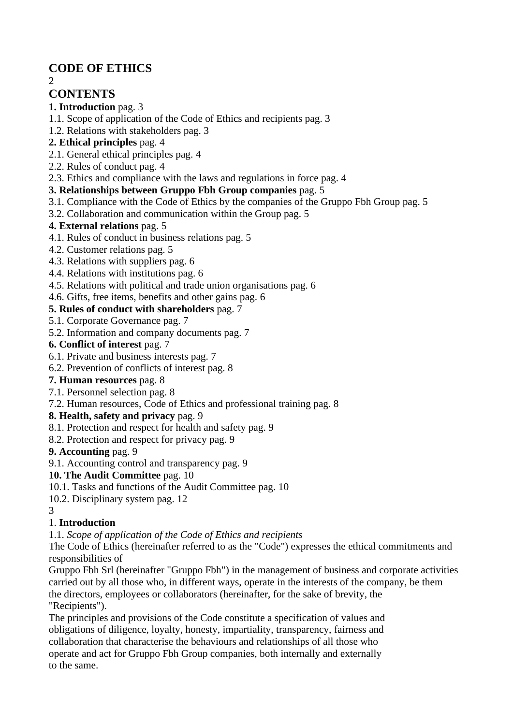# **CODE OF ETHICS**

2

# **CONTENTS**

### **1. Introduction** pag. 3

- 1.1. Scope of application of the Code of Ethics and recipients pag. 3
- 1.2. Relations with stakeholders pag. 3

## **2. Ethical principles** pag. 4

- 2.1. General ethical principles pag. 4
- 2.2. Rules of conduct pag. 4
- 2.3. Ethics and compliance with the laws and regulations in force pag. 4

### **3. Relationships between Gruppo Fbh Group companies** pag. 5

- 3.1. Compliance with the Code of Ethics by the companies of the Gruppo Fbh Group pag. 5
- 3.2. Collaboration and communication within the Group pag. 5

## **4. External relations** pag. 5

- 4.1. Rules of conduct in business relations pag. 5
- 4.2. Customer relations pag. 5
- 4.3. Relations with suppliers pag. 6
- 4.4. Relations with institutions pag. 6
- 4.5. Relations with political and trade union organisations pag. 6
- 4.6. Gifts, free items, benefits and other gains pag. 6

### **5. Rules of conduct with shareholders** pag. 7

- 5.1. Corporate Governance pag. 7
- 5.2. Information and company documents pag. 7
- **6. Conflict of interest** pag. 7
- 6.1. Private and business interests pag. 7
- 6.2. Prevention of conflicts of interest pag. 8
- **7. Human resources** pag. 8
- 7.1. Personnel selection pag. 8
- 7.2. Human resources, Code of Ethics and professional training pag. 8

### **8. Health, safety and privacy** pag. 9

- 8.1. Protection and respect for health and safety pag. 9
- 8.2. Protection and respect for privacy pag. 9

### **9. Accounting** pag. 9

9.1. Accounting control and transparency pag. 9

### **10. The Audit Committee** pag. 10

- 10.1. Tasks and functions of the Audit Committee pag. 10
- 10.2. Disciplinary system pag. 12
- 3

## 1. **Introduction**

1.1. *Scope of application of the Code of Ethics and recipients*

The Code of Ethics (hereinafter referred to as the "Code") expresses the ethical commitments and responsibilities of

Gruppo Fbh Srl (hereinafter "Gruppo Fbh") in the management of business and corporate activities carried out by all those who, in different ways, operate in the interests of the company, be them the directors, employees or collaborators (hereinafter, for the sake of brevity, the "Recipients").

The principles and provisions of the Code constitute a specification of values and obligations of diligence, loyalty, honesty, impartiality, transparency, fairness and collaboration that characterise the behaviours and relationships of all those who operate and act for Gruppo Fbh Group companies, both internally and externally to the same.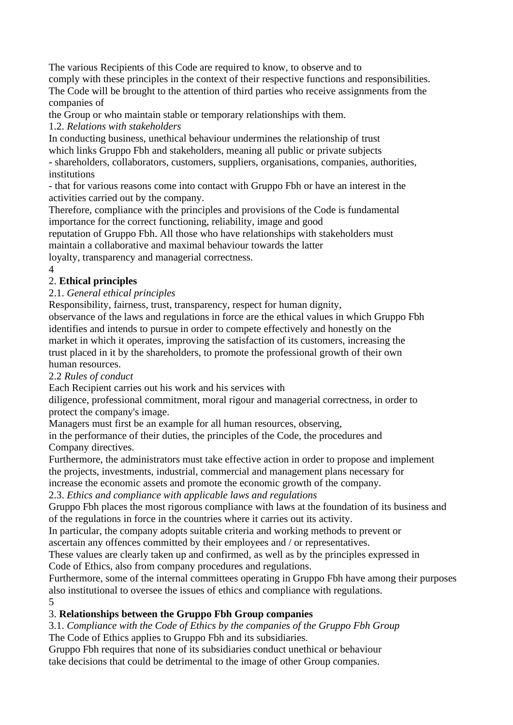The various Recipients of this Code are required to know, to observe and to comply with these principles in the context of their respective functions and responsibilities. The Code will be brought to the attention of third parties who receive assignments from the companies of

the Group or who maintain stable or temporary relationships with them.

1.2. *Relations with stakeholders*

In conducting business, unethical behaviour undermines the relationship of trust which links Gruppo Fbh and stakeholders, meaning all public or private subjects

- shareholders, collaborators, customers, suppliers, organisations, companies, authorities, institutions

- that for various reasons come into contact with Gruppo Fbh or have an interest in the activities carried out by the company.

Therefore, compliance with the principles and provisions of the Code is fundamental importance for the correct functioning, reliability, image and good

reputation of Gruppo Fbh. All those who have relationships with stakeholders must maintain a collaborative and maximal behaviour towards the latter

loyalty, transparency and managerial correctness.

4

## 2. **Ethical principles**

2.1. *General ethical principles*

Responsibility, fairness, trust, transparency, respect for human dignity,

observance of the laws and regulations in force are the ethical values in which Gruppo Fbh identifies and intends to pursue in order to compete effectively and honestly on the market in which it operates, improving the satisfaction of its customers, increasing the trust placed in it by the shareholders, to promote the professional growth of their own human resources.

2.2 *Rules of conduct*

Each Recipient carries out his work and his services with

diligence, professional commitment, moral rigour and managerial correctness, in order to protect the company's image.

Managers must first be an example for all human resources, observing,

in the performance of their duties, the principles of the Code, the procedures and Company directives.

Furthermore, the administrators must take effective action in order to propose and implement the projects, investments, industrial, commercial and management plans necessary for increase the economic assets and promote the economic growth of the company.

2.3. *Ethics and compliance with applicable laws and regulations*

Gruppo Fbh places the most rigorous compliance with laws at the foundation of its business and of the regulations in force in the countries where it carries out its activity.

In particular, the company adopts suitable criteria and working methods to prevent or ascertain any offences committed by their employees and / or representatives.

These values are clearly taken up and confirmed, as well as by the principles expressed in Code of Ethics, also from company procedures and regulations.

Furthermore, some of the internal committees operating in Gruppo Fbh have among their purposes also institutional to oversee the issues of ethics and compliance with regulations. 5

## 3. **Relationships between the Gruppo Fbh Group companies**

3.1. *Compliance with the Code of Ethics by the companies of the Gruppo Fbh Group* The Code of Ethics applies to Gruppo Fbh and its subsidiaries.

Gruppo Fbh requires that none of its subsidiaries conduct unethical or behaviour take decisions that could be detrimental to the image of other Group companies.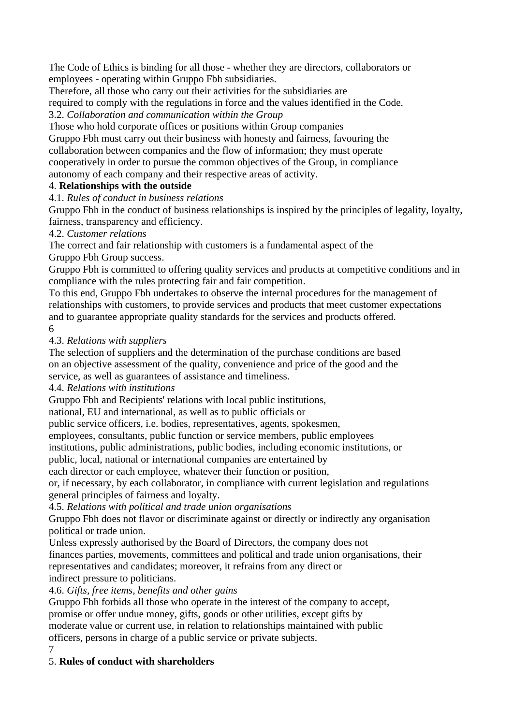The Code of Ethics is binding for all those - whether they are directors, collaborators or employees - operating within Gruppo Fbh subsidiaries.

Therefore, all those who carry out their activities for the subsidiaries are required to comply with the regulations in force and the values identified in the Code. 3.2. *Collaboration and communication within the Group*

Those who hold corporate offices or positions within Group companies

Gruppo Fbh must carry out their business with honesty and fairness, favouring the collaboration between companies and the flow of information; they must operate cooperatively in order to pursue the common objectives of the Group, in compliance autonomy of each company and their respective areas of activity.

## 4. **Relationships with the outside**

4.1. *Rules of conduct in business relations*

Gruppo Fbh in the conduct of business relationships is inspired by the principles of legality, loyalty, fairness, transparency and efficiency.

### 4.2. *Customer relations*

The correct and fair relationship with customers is a fundamental aspect of the Gruppo Fbh Group success.

Gruppo Fbh is committed to offering quality services and products at competitive conditions and in compliance with the rules protecting fair and fair competition.

To this end, Gruppo Fbh undertakes to observe the internal procedures for the management of relationships with customers, to provide services and products that meet customer expectations and to guarantee appropriate quality standards for the services and products offered. 6

### 4.3. *Relations with suppliers*

The selection of suppliers and the determination of the purchase conditions are based on an objective assessment of the quality, convenience and price of the good and the service, as well as guarantees of assistance and timeliness.

4.4. *Relations with institutions*

Gruppo Fbh and Recipients' relations with local public institutions,

national, EU and international, as well as to public officials or

public service officers, i.e. bodies, representatives, agents, spokesmen,

employees, consultants, public function or service members, public employees

institutions, public administrations, public bodies, including economic institutions, or

public, local, national or international companies are entertained by

each director or each employee, whatever their function or position,

or, if necessary, by each collaborator, in compliance with current legislation and regulations general principles of fairness and loyalty.

4.5. *Relations with political and trade union organisations*

Gruppo Fbh does not flavor or discriminate against or directly or indirectly any organisation political or trade union.

Unless expressly authorised by the Board of Directors, the company does not finances parties, movements, committees and political and trade union organisations, their representatives and candidates; moreover, it refrains from any direct or indirect pressure to politicians.

### 4.6. *Gifts, free items, benefits and other gains*

Gruppo Fbh forbids all those who operate in the interest of the company to accept, promise or offer undue money, gifts, goods or other utilities, except gifts by moderate value or current use, in relation to relationships maintained with public officers, persons in charge of a public service or private subjects.

 $\mathcal{I}$ 

## 5. **Rules of conduct with shareholders**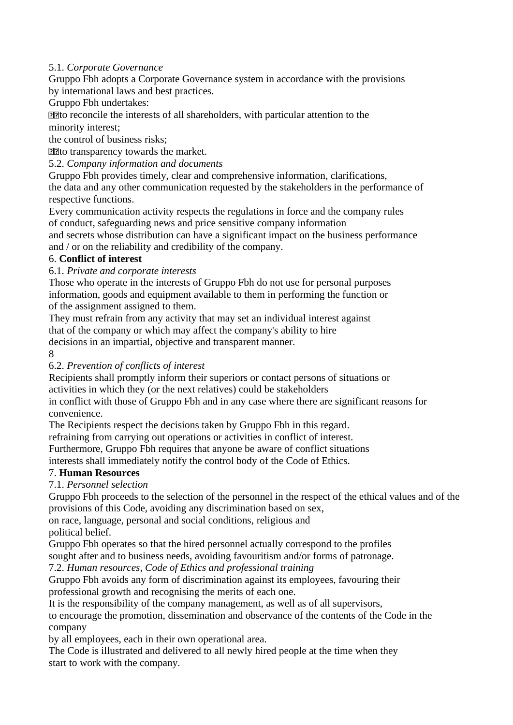### 5.1. *Corporate Governance*

Gruppo Fbh adopts a Corporate Governance system in accordance with the provisions by international laws and best practices.

#### Gruppo Fbh undertakes:

**The reconcile the interests of all shareholders, with particular attention to the** 

minority interest;

the control of business risks;

**The transparency towards the market.** 

5.2. *Company information and documents*

Gruppo Fbh provides timely, clear and comprehensive information, clarifications, the data and any other communication requested by the stakeholders in the performance of respective functions.

Every communication activity respects the regulations in force and the company rules of conduct, safeguarding news and price sensitive company information

and secrets whose distribution can have a significant impact on the business performance and / or on the reliability and credibility of the company.

### 6. **Conflict of interest**

### 6.1. *Private and corporate interests*

Those who operate in the interests of Gruppo Fbh do not use for personal purposes information, goods and equipment available to them in performing the function or of the assignment assigned to them.

They must refrain from any activity that may set an individual interest against that of the company or which may affect the company's ability to hire decisions in an impartial, objective and transparent manner.

8

### 6.2. *Prevention of conflicts of interest*

Recipients shall promptly inform their superiors or contact persons of situations or activities in which they (or the next relatives) could be stakeholders

in conflict with those of Gruppo Fbh and in any case where there are significant reasons for convenience.

The Recipients respect the decisions taken by Gruppo Fbh in this regard.

refraining from carrying out operations or activities in conflict of interest.

Furthermore, Gruppo Fbh requires that anyone be aware of conflict situations

interests shall immediately notify the control body of the Code of Ethics.

### 7. **Human Resources**

### 7.1. *Personnel selection*

Gruppo Fbh proceeds to the selection of the personnel in the respect of the ethical values and of the provisions of this Code, avoiding any discrimination based on sex,

on race, language, personal and social conditions, religious and political belief.

Gruppo Fbh operates so that the hired personnel actually correspond to the profiles

sought after and to business needs, avoiding favouritism and/or forms of patronage.

7.2. *Human resources, Code of Ethics and professional training*

Gruppo Fbh avoids any form of discrimination against its employees, favouring their professional growth and recognising the merits of each one.

It is the responsibility of the company management, as well as of all supervisors,

to encourage the promotion, dissemination and observance of the contents of the Code in the company

by all employees, each in their own operational area.

The Code is illustrated and delivered to all newly hired people at the time when they start to work with the company.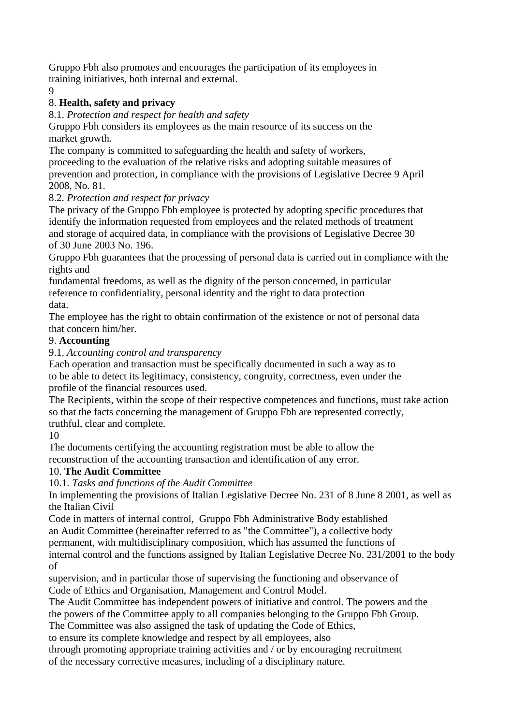Gruppo Fbh also promotes and encourages the participation of its employees in training initiatives, both internal and external.

9

## 8. **Health, safety and privacy**

#### 8.1. *Protection and respect for health and safety*

Gruppo Fbh considers its employees as the main resource of its success on the market growth.

The company is committed to safeguarding the health and safety of workers, proceeding to the evaluation of the relative risks and adopting suitable measures of prevention and protection, in compliance with the provisions of Legislative Decree 9 April 2008, No. 81.

### 8.2. *Protection and respect for privacy*

The privacy of the Gruppo Fbh employee is protected by adopting specific procedures that identify the information requested from employees and the related methods of treatment and storage of acquired data, in compliance with the provisions of Legislative Decree 30 of 30 June 2003 No. 196.

Gruppo Fbh guarantees that the processing of personal data is carried out in compliance with the rights and

fundamental freedoms, as well as the dignity of the person concerned, in particular reference to confidentiality, personal identity and the right to data protection data.

The employee has the right to obtain confirmation of the existence or not of personal data that concern him/her.

### 9. **Accounting**

9.1. *Accounting control and transparency*

Each operation and transaction must be specifically documented in such a way as to to be able to detect its legitimacy, consistency, congruity, correctness, even under the profile of the financial resources used.

The Recipients, within the scope of their respective competences and functions, must take action so that the facts concerning the management of Gruppo Fbh are represented correctly, truthful, clear and complete.

### 10

The documents certifying the accounting registration must be able to allow the reconstruction of the accounting transaction and identification of any error.

### 10. **The Audit Committee**

### 10.1. *Tasks and functions of the Audit Committee*

In implementing the provisions of Italian Legislative Decree No. 231 of 8 June 8 2001, as well as the Italian Civil

Code in matters of internal control, Gruppo Fbh Administrative Body established an Audit Committee (hereinafter referred to as "the Committee"), a collective body

permanent, with multidisciplinary composition, which has assumed the functions of

internal control and the functions assigned by Italian Legislative Decree No. 231/2001 to the body of

supervision, and in particular those of supervising the functioning and observance of Code of Ethics and Organisation, Management and Control Model.

The Audit Committee has independent powers of initiative and control. The powers and the the powers of the Committee apply to all companies belonging to the Gruppo Fbh Group.

The Committee was also assigned the task of updating the Code of Ethics,

to ensure its complete knowledge and respect by all employees, also

through promoting appropriate training activities and / or by encouraging recruitment of the necessary corrective measures, including of a disciplinary nature.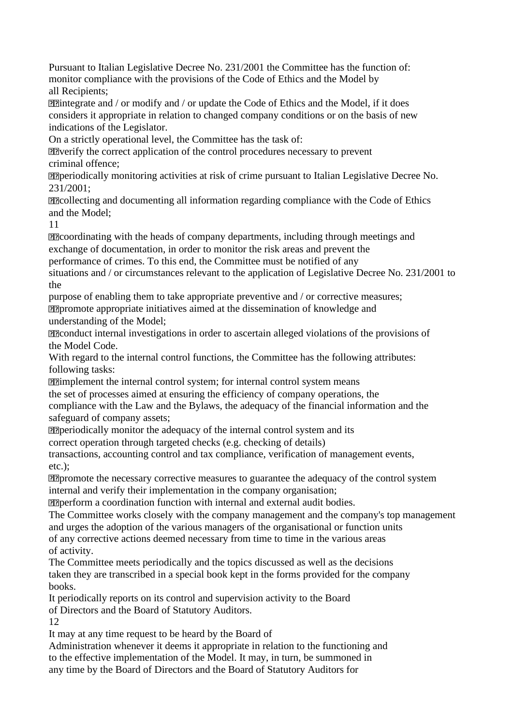Pursuant to Italian Legislative Decree No. 231/2001 the Committee has the function of: monitor compliance with the provisions of the Code of Ethics and the Model by all Recipients;

**Ellintegrate and / or modify and / or update the Code of Ethics and the Model, if it does** considers it appropriate in relation to changed company conditions or on the basis of new indications of the Legislator.

On a strictly operational level, the Committee has the task of:

**Eleverify the correct application of the control procedures necessary to prevent** criminal offence;

periodically monitoring activities at risk of crime pursuant to Italian Legislative Decree No. 231/2001;

**Ellecting and documenting all information regarding compliance with the Code of Ethics** and the Model;

11

coordinating with the heads of company departments, including through meetings and exchange of documentation, in order to monitor the risk areas and prevent the

performance of crimes. To this end, the Committee must be notified of any

situations and / or circumstances relevant to the application of Legislative Decree No. 231/2001 to the

purpose of enabling them to take appropriate preventive and / or corrective measures; **PPromote appropriate initiatives aimed at the dissemination of knowledge and** understanding of the Model;

**PR**conduct internal investigations in order to ascertain alleged violations of the provisions of the Model Code.

With regard to the internal control functions, the Committee has the following attributes: following tasks:

**Ellimplement the internal control system; for internal control system means** 

the set of processes aimed at ensuring the efficiency of company operations, the

compliance with the Law and the Bylaws, the adequacy of the financial information and the safeguard of company assets;

**PP**eriodically monitor the adequacy of the internal control system and its

correct operation through targeted checks (e.g. checking of details)

transactions, accounting control and tax compliance, verification of management events, etc.);

**PPromote the necessary corrective measures to guarantee the adequacy of the control system** internal and verify their implementation in the company organisation;

perform a coordination function with internal and external audit bodies.

The Committee works closely with the company management and the company's top management and urges the adoption of the various managers of the organisational or function units of any corrective actions deemed necessary from time to time in the various areas of activity.

The Committee meets periodically and the topics discussed as well as the decisions taken they are transcribed in a special book kept in the forms provided for the company books.

It periodically reports on its control and supervision activity to the Board of Directors and the Board of Statutory Auditors.

12

It may at any time request to be heard by the Board of

Administration whenever it deems it appropriate in relation to the functioning and to the effective implementation of the Model. It may, in turn, be summoned in any time by the Board of Directors and the Board of Statutory Auditors for